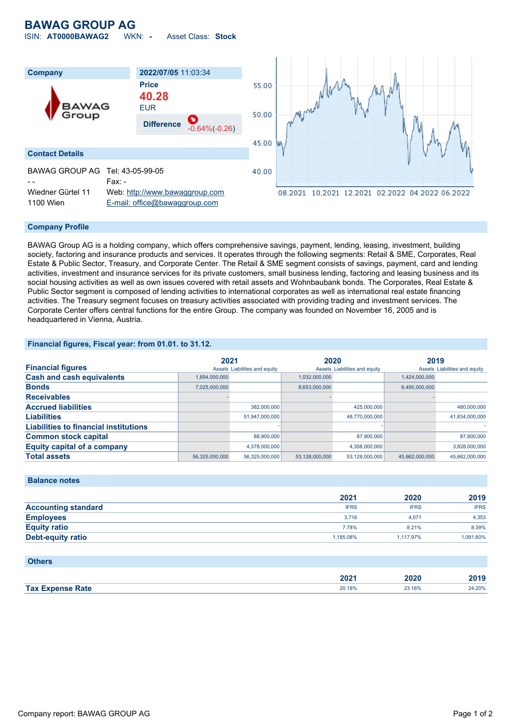## **BAWAG GROUP AG**

ISIN: **AT0000BAWAG2** WKN: **-** Asset Class: **Stock**



#### **Company Profile**

BAWAG Group AG is a holding company, which offers comprehensive savings, payment, lending, leasing, investment, building society, factoring and insurance products and services. It operates through the following segments: Retail & SME, Corporates, Real Estate & Public Sector, Treasury, and Corporate Center. The Retail & SME segment consists of savings, payment, card and lending activities, investment and insurance services for its private customers, small business lending, factoring and leasing business and its social housing activities as well as own issues covered with retail assets and Wohnbaubank bonds. The Corporates, Real Estate & Public Sector segment is composed of lending activities to international corporates as well as international real estate financing activities. The Treasury segment focuses on treasury activities associated with providing trading and investment services. The Corporate Center offers central functions for the entire Group. The company was founded on November 16, 2005 and is headquartered in Vienna, Austria.

#### **Financial figures, Fiscal year: from 01.01. to 31.12.**

|                                              | 2021           |                               | 2020           |                               | 2019           |                               |
|----------------------------------------------|----------------|-------------------------------|----------------|-------------------------------|----------------|-------------------------------|
| <b>Financial figures</b>                     |                | Assets Liabilities and equity |                | Assets Liabilities and equity |                | Assets Liabilities and equity |
| <b>Cash and cash equivalents</b>             | 1,894,000,000  |                               | 1,032,000,000  |                               | 1,424,000,000  |                               |
| <b>Bonds</b>                                 | 7,025,000,000  |                               | 8,653,000,000  |                               | 6.495.000.000  |                               |
| <b>Receivables</b>                           |                |                               |                |                               |                |                               |
| <b>Accrued liabilities</b>                   |                | 382,000,000                   |                | 425,000,000                   |                | 480,000,000                   |
| <b>Liabilities</b>                           |                | 51,947,000,000                |                | 48,770,000,000                |                | 41,834,000,000                |
| <b>Liabilities to financial institutions</b> |                |                               |                |                               |                |                               |
| <b>Common stock capital</b>                  |                | 88,900,000                    |                | 87,900,000                    |                | 87,900,000                    |
| <b>Equity capital of a company</b>           |                | 4.378.000.000                 |                | 4.358.000.000                 |                | 3,828,000,000                 |
| <b>Total assets</b>                          | 56.325.000.000 | 56.325.000.000                | 53.128.000.000 | 53.128.000.000                | 45.662.000.000 | 45.662.000.000                |

#### **Balance notes**

|                            | 2021        | 2020        | 2019        |
|----------------------------|-------------|-------------|-------------|
| <b>Accounting standard</b> | <b>IFRS</b> | <b>IFRS</b> | <b>IFRS</b> |
| <b>Employees</b>           | 3.716       | 4.071       | 4,353       |
| <b>Equity ratio</b>        | 7.78%       | 8.21%       | 8.39%       |
| Debt-equity ratio          | 1.185.08%   | 1.117.97%   | 1,091.60%   |

#### **Others**

|                         | 202 <sub>2</sub><br>ZUZ | 2020              | 004C   |
|-------------------------|-------------------------|-------------------|--------|
| <b>Tax Expense Rate</b> | 20.18%                  | <sup>3</sup> .16% | 24.20% |